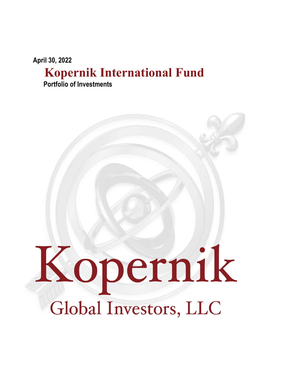**April 30, 2022**

## **Kopernik International Fund**

**Portfolio of Investments**